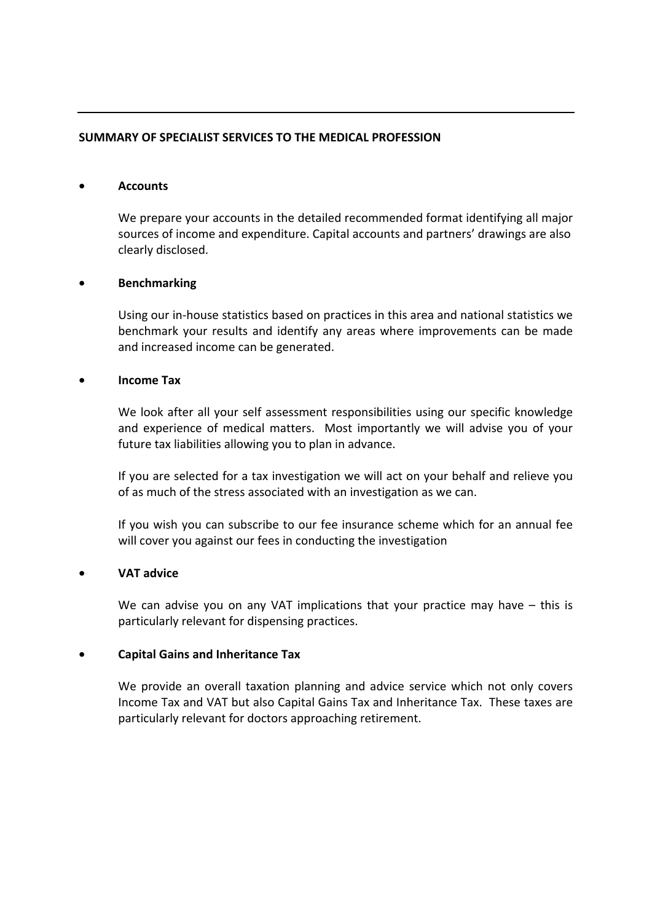## **SUMMARY OF SPECIALIST SERVICES TO THE MEDICAL PROFESSION**

#### • **Accounts**

We prepare your accounts in the detailed recommended format identifying all major sources of income and expenditure. Capital accounts and partners' drawings are also clearly disclosed.

### • **Benchmarking**

Using our in‐house statistics based on practices in this area and national statistics we benchmark your results and identify any areas where improvements can be made and increased income can be generated.

#### • **Income Tax**

We look after all your self assessment responsibilities using our specific knowledge and experience of medical matters. Most importantly we will advise you of your future tax liabilities allowing you to plan in advance.

If you are selected for a tax investigation we will act on your behalf and relieve you of as much of the stress associated with an investigation as we can.

If you wish you can subscribe to our fee insurance scheme which for an annual fee will cover you against our fees in conducting the investigation

## • **VAT advice**

We can advise you on any VAT implications that your practice may have – this is particularly relevant for dispensing practices.

### • **Capital Gains and Inheritance Tax**

We provide an overall taxation planning and advice service which not only covers Income Tax and VAT but also Capital Gains Tax and Inheritance Tax. These taxes are particularly relevant for doctors approaching retirement.